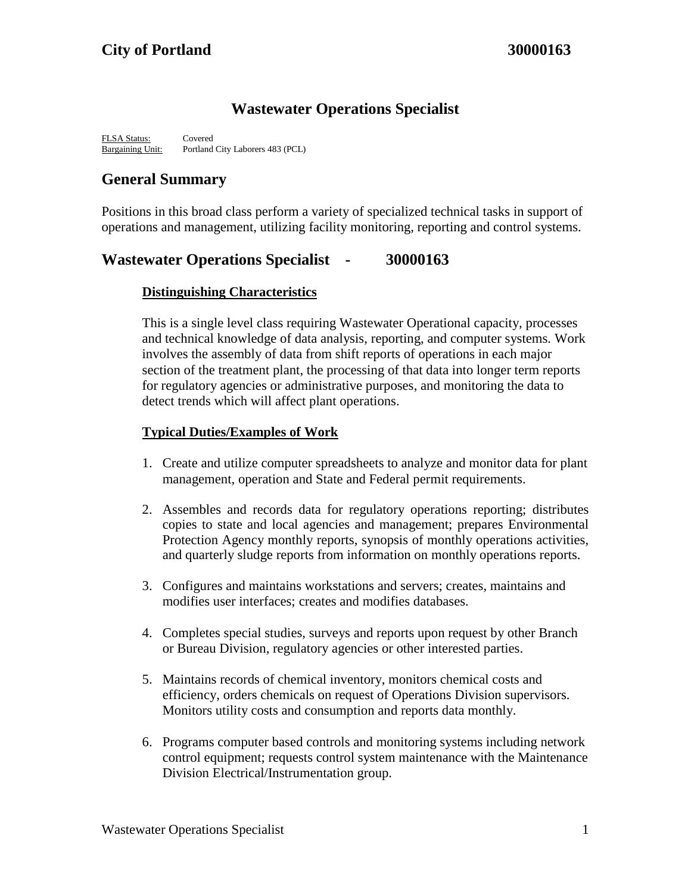## **Wastewater Operations Specialist**

FLSA Status: Covered Bargaining Unit: Portland City Laborers 483 (PCL)

## **General Summary**

Positions in this broad class perform a variety of specialized technical tasks in support of operations and management, utilizing facility monitoring, reporting and control systems.

### **Wastewater Operations Specialist - 30000163**

### **Distinguishing Characteristics**

This is a single level class requiring Wastewater Operational capacity, processes and technical knowledge of data analysis, reporting, and computer systems. Work involves the assembly of data from shift reports of operations in each major section of the treatment plant, the processing of that data into longer term reports for regulatory agencies or administrative purposes, and monitoring the data to detect trends which will affect plant operations.

#### **Typical Duties/Examples of Work**

- 1. Create and utilize computer spreadsheets to analyze and monitor data for plant management, operation and State and Federal permit requirements.
- 2. Assembles and records data for regulatory operations reporting; distributes copies to state and local agencies and management; prepares Environmental Protection Agency monthly reports, synopsis of monthly operations activities, and quarterly sludge reports from information on monthly operations reports.
- 3. Configures and maintains workstations and servers; creates, maintains and modifies user interfaces; creates and modifies databases.
- 4. Completes special studies, surveys and reports upon request by other Branch or Bureau Division, regulatory agencies or other interested parties.
- 5. Maintains records of chemical inventory, monitors chemical costs and efficiency, orders chemicals on request of Operations Division supervisors. Monitors utility costs and consumption and reports data monthly.
- 6. Programs computer based controls and monitoring systems including network control equipment; requests control system maintenance with the Maintenance Division Electrical/Instrumentation group.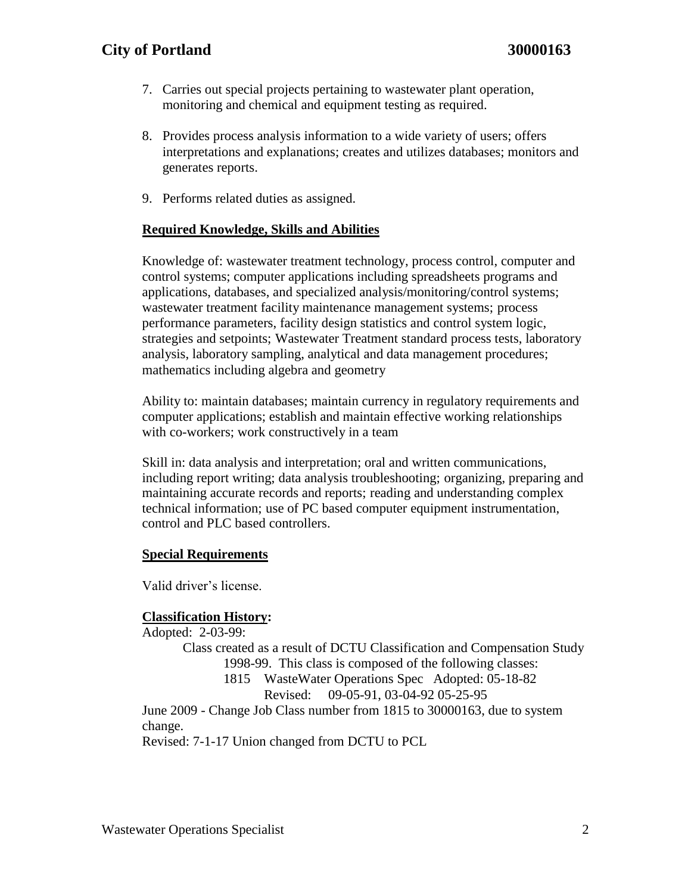### **City of Portland 30000163**

- 7. Carries out special projects pertaining to wastewater plant operation, monitoring and chemical and equipment testing as required.
- 8. Provides process analysis information to a wide variety of users; offers interpretations and explanations; creates and utilizes databases; monitors and generates reports.
- 9. Performs related duties as assigned.

#### **Required Knowledge, Skills and Abilities**

Knowledge of: wastewater treatment technology, process control, computer and control systems; computer applications including spreadsheets programs and applications, databases, and specialized analysis/monitoring/control systems; wastewater treatment facility maintenance management systems; process performance parameters, facility design statistics and control system logic, strategies and setpoints; Wastewater Treatment standard process tests, laboratory analysis, laboratory sampling, analytical and data management procedures; mathematics including algebra and geometry

Ability to: maintain databases; maintain currency in regulatory requirements and computer applications; establish and maintain effective working relationships with co-workers; work constructively in a team

Skill in: data analysis and interpretation; oral and written communications, including report writing; data analysis troubleshooting; organizing, preparing and maintaining accurate records and reports; reading and understanding complex technical information; use of PC based computer equipment instrumentation, control and PLC based controllers.

#### **Special Requirements**

Valid driver's license.

#### **Classification History:**

Adopted: 2-03-99: Class created as a result of DCTU Classification and Compensation Study 1998-99. This class is composed of the following classes: 1815 WasteWater Operations Spec Adopted: 05-18-82 Revised: 09-05-91, 03-04-92 05-25-95 June 2009 - Change Job Class number from 1815 to 30000163, due to system change. Revised: 7-1-17 Union changed from DCTU to PCL